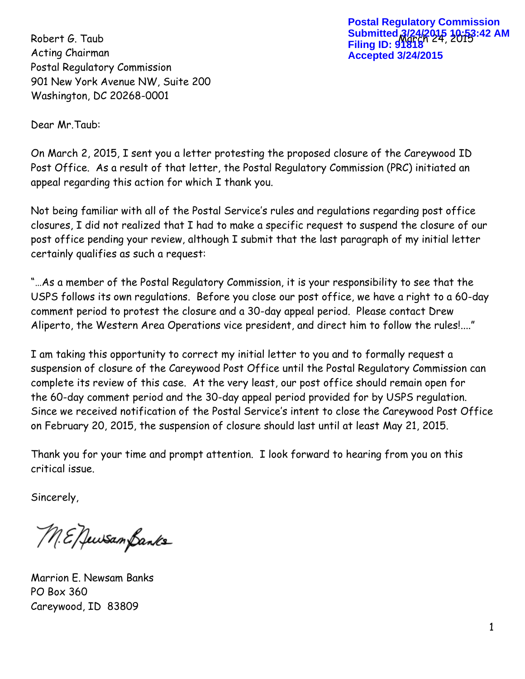Acting Chairman Postal Regulatory Commission 901 New York Avenue NW, Suite 200 Washington, DC 20268-0001

Robert G. Taub **Submitted 3/24/2015 10:53:42 AM Postal Regulatory Commission Filing ID: 91818 Accepted 3/24/2015**

Dear Mr.Taub:

On March 2, 2015, I sent you a letter protesting the proposed closure of the Careywood ID Post Office. As a result of that letter, the Postal Regulatory Commission (PRC) initiated an appeal regarding this action for which I thank you.

Not being familiar with all of the Postal Service's rules and regulations regarding post office closures, I did not realized that I had to make a specific request to suspend the closure of our post office pending your review, although I submit that the last paragraph of my initial letter certainly qualifies as such a request:

"…As a member of the Postal Regulatory Commission, it is your responsibility to see that the USPS follows its own regulations. Before you close our post office, we have a right to a 60-day comment period to protest the closure and a 30-day appeal period. Please contact Drew Aliperto, the Western Area Operations vice president, and direct him to follow the rules!...."

I am taking this opportunity to correct my initial letter to you and to formally request a suspension of closure of the Careywood Post Office until the Postal Regulatory Commission can complete its review of this case. At the very least, our post office should remain open for the 60-day comment period and the 30-day appeal period provided for by USPS regulation. Since we received notification of the Postal Service's intent to close the Careywood Post Office on February 20, 2015, the suspension of closure should last until at least May 21, 2015.

Thank you for your time and prompt attention. I look forward to hearing from you on this critical issue.

Sincerely,

M.E. Jewsam Banks

Marrion E. Newsam Banks PO Box 360 Careywood, ID 83809